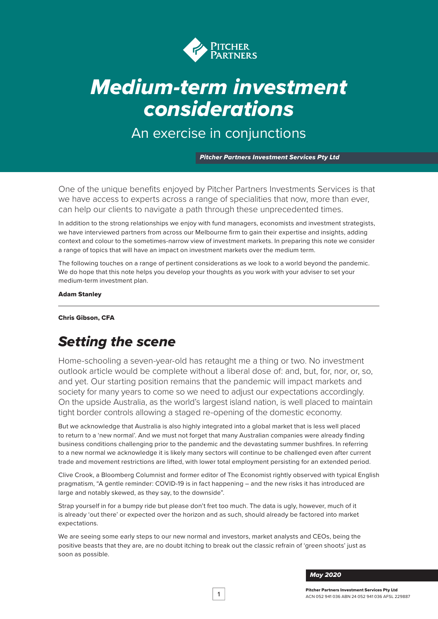

# *Medium-term investment considerations*

An exercise in conjunctions

*Pitcher Partners Investment Services Pty Ltd*

One of the unique benefits enjoyed by Pitcher Partners Investments Services is that we have access to experts across a range of specialities that now, more than ever, can help our clients to navigate a path through these unprecedented times.

In addition to the strong relationships we enjoy with fund managers, economists and investment strategists, we have interviewed partners from across our Melbourne firm to gain their expertise and insights, adding context and colour to the sometimes-narrow view of investment markets. In preparing this note we consider a range of topics that will have an impact on investment markets over the medium term.

The following touches on a range of pertinent considerations as we look to a world beyond the pandemic. We do hope that this note helps you develop your thoughts as you work with your adviser to set your medium-term investment plan.

Adam Stanley

#### Chris Gibson, CFA

# *Setting the scene*

Home-schooling a seven-year-old has retaught me a thing or two. No investment outlook article would be complete without a liberal dose of: and, but, for, nor, or, so, and yet. Our starting position remains that the pandemic will impact markets and society for many years to come so we need to adjust our expectations accordingly. On the upside Australia, as the world's largest island nation, is well placed to maintain tight border controls allowing a staged re-opening of the domestic economy.

But we acknowledge that Australia is also highly integrated into a global market that is less well placed to return to a 'new normal'. And we must not forget that many Australian companies were already finding business conditions challenging prior to the pandemic and the devastating summer bushfires. In referring to a new normal we acknowledge it is likely many sectors will continue to be challenged even after current trade and movement restrictions are lifted, with lower total employment persisting for an extended period.

Clive Crook, a Bloomberg Columnist and former editor of The Economist rightly observed with typical English pragmatism, "A gentle reminder: COVID-19 is in fact happening – and the new risks it has introduced are large and notably skewed, as they say, to the downside".

Strap yourself in for a bumpy ride but please don't fret too much. The data is ugly, however, much of it is already 'out there' or expected over the horizon and as such, should already be factored into market expectations.

We are seeing some early steps to our new normal and investors, market analysts and CEOs, being the positive beasts that they are, are no doubt itching to break out the classic refrain of 'green shoots' just as soon as possible.

*May 2020*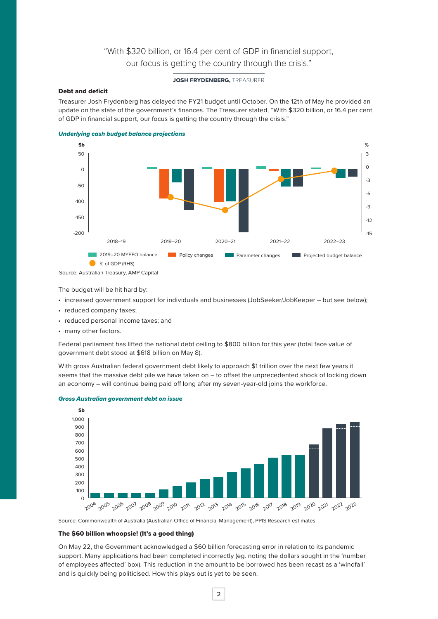# "With \$320 billion, or 16.4 per cent of GDP in financial support, our focus is getting the country through the crisis."

#### JOSH FRYDENBERG. TREASURER

#### Debt and deficit

Treasurer Josh Frydenberg has delayed the FY21 budget until October. On the 12th of May he provided an update on the state of the government's finances. The Treasurer stated, "With \$320 billion, or 16.4 per cent of GDP in financial support, our focus is getting the country through the crisis."





Source: Australian Treasury, AMP Capital

The budget will be hit hard by:

• increased government support for individuals and businesses (JobSeeker/JobKeeper – but see below);

- reduced company taxes;
- reduced personal income taxes; and
- many other factors.

Federal parliament has lifted the national debt ceiling to \$800 billion for this year (total face value of government debt stood at \$618 billion on May 8).

With gross Australian federal government debt likely to approach \$1 trillion over the next few years it seems that the massive debt pile we have taken on – to offset the unprecedented shock of locking down an economy – will continue being paid off long after my seven-year-old joins the workforce.



#### *Gross Australian government debt on issue*

Source: Commonwealth of Australia (Australian Office of Financial Management), PPIS Research estimates

#### The \$60 billion whoopsie! (It's a good thing)

On May 22, the Government acknowledged a \$60 billion forecasting error in relation to its pandemic support. Many applications had been completed incorrectly (eg. noting the dollars sought in the 'number of employees affected' box). This reduction in the amount to be borrowed has been recast as a 'windfall' and is quickly being politicised. How this plays out is yet to be seen.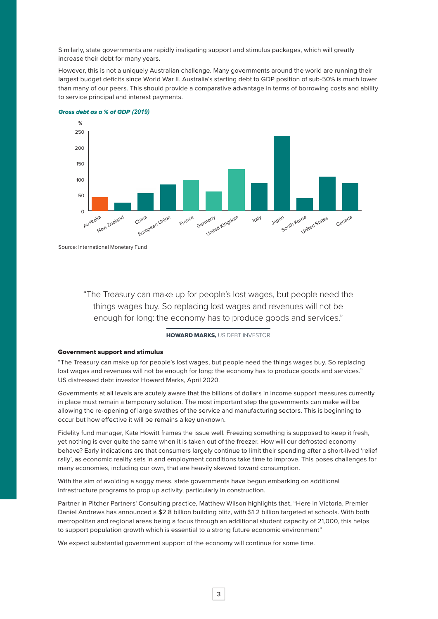Similarly, state governments are rapidly instigating support and stimulus packages, which will greatly increase their debt for many years.

However, this is not a uniquely Australian challenge. Many governments around the world are running their largest budget deficits since World War II. Australia's starting debt to GDP position of sub-50% is much lower than many of our peers. This should provide a comparative advantage in terms of borrowing costs and ability to service principal and interest payments.



#### *Gross debt as a % of GDP (2019)*

Source: International Monetary Fund

"The Treasury can make up for people's lost wages, but people need the things wages buy. So replacing lost wages and revenues will not be enough for long: the economy has to produce goods and services."

#### HOWARD MARKS, US DEBT INVESTOR

#### Government support and stimulus

"The Treasury can make up for people's lost wages, but people need the things wages buy. So replacing lost wages and revenues will not be enough for long: the economy has to produce goods and services." US distressed debt investor Howard Marks, April 2020.

Governments at all levels are acutely aware that the billions of dollars in income support measures currently in place must remain a temporary solution. The most important step the governments can make will be allowing the re-opening of large swathes of the service and manufacturing sectors. This is beginning to occur but how effective it will be remains a key unknown.

Fidelity fund manager, Kate Howitt frames the issue well. Freezing something is supposed to keep it fresh, yet nothing is ever quite the same when it is taken out of the freezer. How will our defrosted economy behave? Early indications are that consumers largely continue to limit their spending after a short-lived 'relief rally', as economic reality sets in and employment conditions take time to improve. This poses challenges for many economies, including our own, that are heavily skewed toward consumption.

With the aim of avoiding a soggy mess, state governments have begun embarking on additional infrastructure programs to prop up activity, particularly in construction.

Partner in Pitcher Partners' Consulting practice, Matthew Wilson highlights that, "Here in Victoria, Premier Daniel Andrews has announced a \$2.8 billion building blitz, with \$1.2 billion targeted at schools. With both metropolitan and regional areas being a focus through an additional student capacity of 21,000, this helps to support population growth which is essential to a strong future economic environment"

We expect substantial government support of the economy will continue for some time.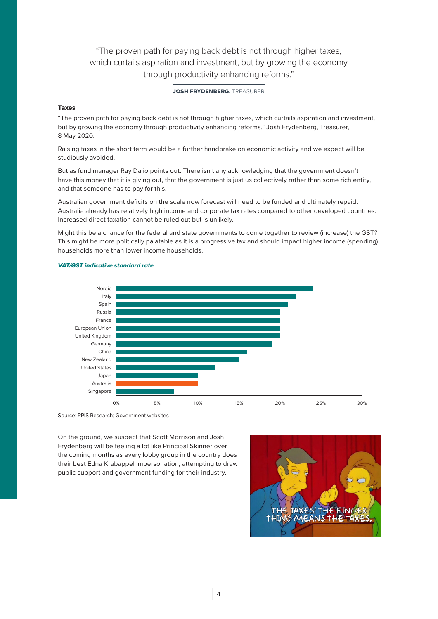"The proven path for paying back debt is not through higher taxes, which curtails aspiration and investment, but by growing the economy through productivity enhancing reforms."

#### JOSH FRYDENBERG. TREASURER

#### Taxes

"The proven path for paying back debt is not through higher taxes, which curtails aspiration and investment, but by growing the economy through productivity enhancing reforms." Josh Frydenberg, Treasurer, 8 May 2020.

Raising taxes in the short term would be a further handbrake on economic activity and we expect will be studiously avoided.

But as fund manager Ray Dalio points out: There isn't any acknowledging that the government doesn't have this money that it is giving out, that the government is just us collectively rather than some rich entity, and that someone has to pay for this.

Australian government deficits on the scale now forecast will need to be funded and ultimately repaid. Australia already has relatively high income and corporate tax rates compared to other developed countries. Increased direct taxation cannot be ruled out but is unlikely.

Might this be a chance for the federal and state governments to come together to review (increase) the GST? This might be more politically palatable as it is a progressive tax and should impact higher income (spending) households more than lower income households.



#### *VAT/GST indicative standard rate*

Source: PPIS Research; Government websites

On the ground, we suspect that Scott Morrison and Josh Frydenberg will be feeling a lot like Principal Skinner over the coming months as every lobby group in the country does their best Edna Krabappel impersonation, attempting to draw public support and government funding for their industry.

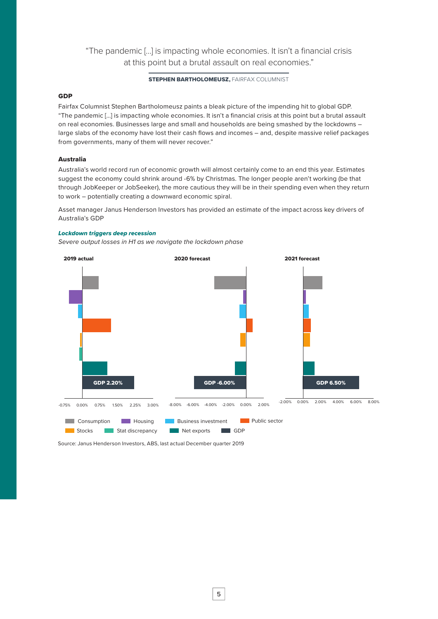# "The pandemic […] is impacting whole economies. It isn't a financial crisis at this point but a brutal assault on real economies."

#### **STEPHEN BARTHOLOMEUSZ, FAIRFAX COLUMNIST**

#### **GDP**

Fairfax Columnist Stephen Bartholomeusz paints a bleak picture of the impending hit to global GDP. "The pandemic […] is impacting whole economies. It isn't a financial crisis at this point but a brutal assault on real economies. Businesses large and small and households are being smashed by the lockdowns – large slabs of the economy have lost their cash flows and incomes – and, despite massive relief packages from governments, many of them will never recover."

#### Australia

Australia's world record run of economic growth will almost certainly come to an end this year. Estimates suggest the economy could shrink around -6% by Christmas. The longer people aren't working (be that through JobKeeper or JobSeeker), the more cautious they will be in their spending even when they return to work – potentially creating a downward economic spiral.

Asset manager Janus Henderson Investors has provided an estimate of the impact across key drivers of Australia's GDP

#### *Lockdown triggers deep recession*

*Severe output losses in H1 as we navigate the lockdown phase*



Source: Janus Henderson Investors, ABS, last actual December quarter 2019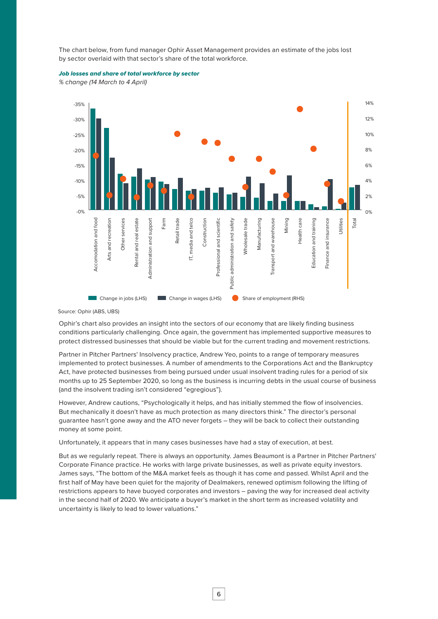The chart below, from fund manager Ophir Asset Management provides an estimate of the jobs lost by sector overlaid with that sector's share of the total workforce.

#### *Job losses and share of total workforce by sector*

*% change (14 March to 4 April)*



Source: Ophir (ABS, UBS)

Ophir's chart also provides an insight into the sectors of our economy that are likely finding business conditions particularly challenging. Once again, the government has implemented supportive measures to protect distressed businesses that should be viable but for the current trading and movement restrictions.

Partner in Pitcher Partners' Insolvency practice, Andrew Yeo, points to a range of temporary measures implemented to protect businesses. A number of amendments to the Corporations Act and the Bankruptcy Act, have protected businesses from being pursued under usual insolvent trading rules for a period of six months up to 25 September 2020, so long as the business is incurring debts in the usual course of business (and the insolvent trading isn't considered "egregious").

However, Andrew cautions, "Psychologically it helps, and has initially stemmed the flow of insolvencies. But mechanically it doesn't have as much protection as many directors think." The director's personal guarantee hasn't gone away and the ATO never forgets – they will be back to collect their outstanding money at some point.

Unfortunately, it appears that in many cases businesses have had a stay of execution, at best.

But as we regularly repeat. There is always an opportunity. James Beaumont is a Partner in Pitcher Partners' Corporate Finance practice. He works with large private businesses, as well as private equity investors. James says, "The bottom of the M&A market feels as though it has come and passed. Whilst April and the first half of May have been quiet for the majority of Dealmakers, renewed optimism following the lifting of restrictions appears to have buoyed corporates and investors – paving the way for increased deal activity in the second half of 2020. We anticipate a buyer's market in the short term as increased volatility and uncertainty is likely to lead to lower valuations."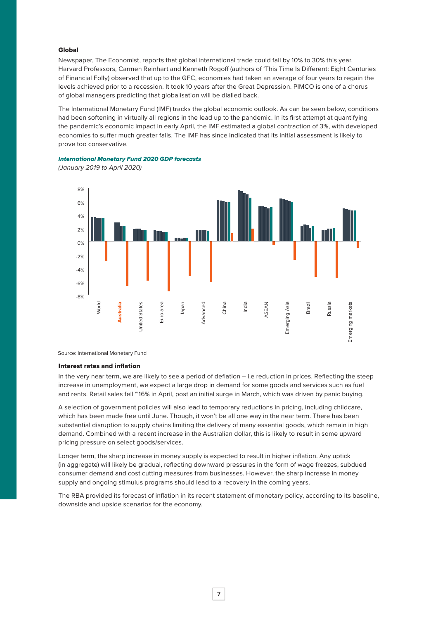#### Global

Newspaper, The Economist, reports that global international trade could fall by 10% to 30% this year. Harvard Professors, Carmen Reinhart and Kenneth Rogoff (authors of 'This Time Is Different: Eight Centuries of Financial Folly) observed that up to the GFC, economies had taken an average of four years to regain the levels achieved prior to a recession. It took 10 years after the Great Depression. PIMCO is one of a chorus of global managers predicting that globalisation will be dialled back.

The International Monetary Fund (IMF) tracks the global economic outlook. As can be seen below, conditions had been softening in virtually all regions in the lead up to the pandemic. In its first attempt at quantifying the pandemic's economic impact in early April, the IMF estimated a global contraction of 3%, with developed economies to suffer much greater falls. The IMF has since indicated that its initial assessment is likely to prove too conservative.

*International Monetary Fund 2020 GDP forecasts*

*(January 2019 to April 2020)*



Source: International Monetary Fund

#### Interest rates and inflation

In the very near term, we are likely to see a period of deflation – i.e reduction in prices. Reflecting the steep increase in unemployment, we expect a large drop in demand for some goods and services such as fuel and rents. Retail sales fell ~16% in April, post an initial surge in March, which was driven by panic buying.

A selection of government policies will also lead to temporary reductions in pricing, including childcare, which has been made free until June. Though, it won't be all one way in the near term. There has been substantial disruption to supply chains limiting the delivery of many essential goods, which remain in high demand. Combined with a recent increase in the Australian dollar, this is likely to result in some upward pricing pressure on select goods/services.

Longer term, the sharp increase in money supply is expected to result in higher inflation. Any uptick (in aggregate) will likely be gradual, reflecting downward pressures in the form of wage freezes, subdued consumer demand and cost cutting measures from businesses. However, the sharp increase in money supply and ongoing stimulus programs should lead to a recovery in the coming years.

The RBA provided its forecast of inflation in its recent statement of monetary policy, according to its baseline, downside and upside scenarios for the economy.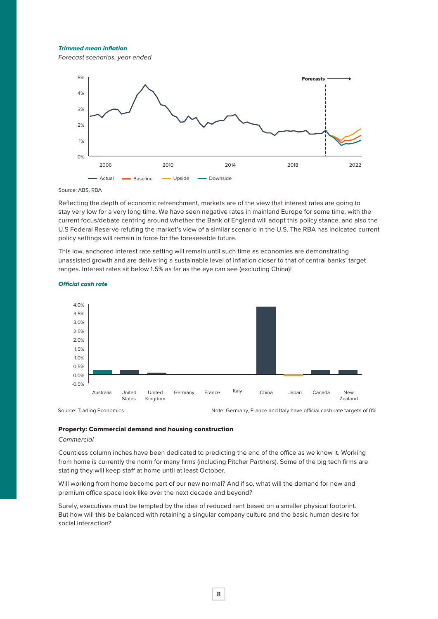*Trimmed mean inflation*

*Forecast scenarios, year ended*



Source: ABS, RBA

Reflecting the depth of economic retrenchment, markets are of the view that interest rates are going to stay very low for a very long time. We have seen negative rates in mainland Europe for some time, with the current focus/debate centring around whether the Bank of England will adopt this policy stance, and also the U.S Federal Reserve refuting the market's view of a similar scenario in the U.S. The RBA has indicated current policy settings will remain in force for the foreseeable future.

This low, anchored interest rate setting will remain until such time as economies are demonstrating unassisted growth and are delivering a sustainable level of inflation closer to that of central banks' target ranges. Interest rates sit below 1.5% as far as the eye can see (excluding China)!



#### *Official cash rate*

#### Property: Commercial demand and housing construction

#### *Commercial*

Countless column inches have been dedicated to predicting the end of the office as we know it. Working from home is currently the norm for many firms (including Pitcher Partners). Some of the big tech firms are stating they will keep staff at home until at least October.

Will working from home become part of our new normal? And if so, what will the demand for new and premium office space look like over the next decade and beyond?

Surely, executives must be tempted by the idea of reduced rent based on a smaller physical footprint. But how will this be balanced with retaining a singular company culture and the basic human desire for social interaction?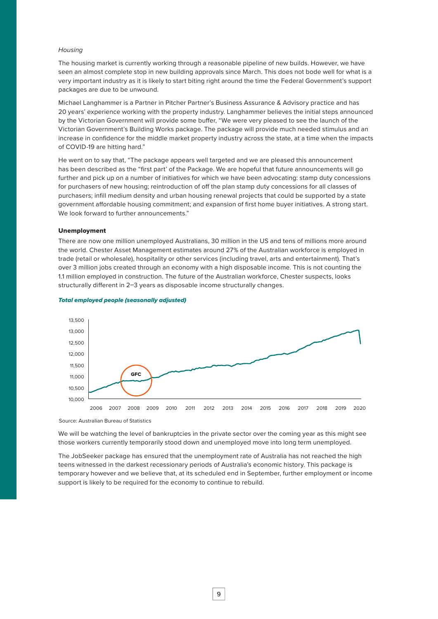#### *Housing*

The housing market is currently working through a reasonable pipeline of new builds. However, we have seen an almost complete stop in new building approvals since March. This does not bode well for what is a very important industry as it is likely to start biting right around the time the Federal Government's support packages are due to be unwound.

Michael Langhammer is a Partner in Pitcher Partner's Business Assurance & Advisory practice and has 20 years' experience working with the property industry. Langhammer believes the initial steps announced by the Victorian Government will provide some buffer, "We were very pleased to see the launch of the Victorian Government's Building Works package. The package will provide much needed stimulus and an increase in confidence for the middle market property industry across the state, at a time when the impacts of COVID-19 are hitting hard."

He went on to say that, "The package appears well targeted and we are pleased this announcement has been described as the "first part' of the Package. We are hopeful that future announcements will go further and pick up on a number of initiatives for which we have been advocating: stamp duty concessions for purchasers of new housing; reintroduction of off the plan stamp duty concessions for all classes of purchasers; infill medium density and urban housing renewal projects that could be supported by a state government affordable housing commitment; and expansion of first home buyer initiatives. A strong start. We look forward to further announcements."

#### Unemployment

There are now one million unemployed Australians, 30 million in the US and tens of millions more around the world. Chester Asset Management estimates around 27% of the Australian workforce is employed in trade (retail or wholesale), hospitality or other services (including travel, arts and entertainment). That's over 3 million jobs created through an economy with a high disposable income. This is not counting the 1.1 million employed in construction. The future of the Australian workforce, Chester suspects, looks structurally different in 2–3 years as disposable income structurally changes.



#### *Total employed people (seasonally adjusted)*

Source: Australian Bureau of Statistics

We will be watching the level of bankruptcies in the private sector over the coming year as this might see those workers currently temporarily stood down and unemployed move into long term unemployed.

The JobSeeker package has ensured that the unemployment rate of Australia has not reached the high teens witnessed in the darkest recessionary periods of Australia's economic history. This package is temporary however and we believe that, at its scheduled end in September, further employment or income support is likely to be required for the economy to continue to rebuild.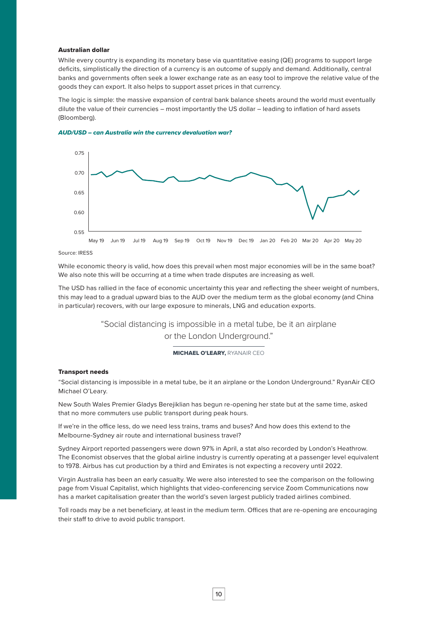#### Australian dollar

While every country is expanding its monetary base via quantitative easing (QE) programs to support large deficits, simplistically the direction of a currency is an outcome of supply and demand. Additionally, central banks and governments often seek a lower exchange rate as an easy tool to improve the relative value of the goods they can export. It also helps to support asset prices in that currency.

The logic is simple: the massive expansion of central bank balance sheets around the world must eventually dilute the value of their currencies – most importantly the US dollar – leading to inflation of hard assets (Bloomberg).





#### Source: IRESS

While economic theory is valid, how does this prevail when most major economies will be in the same boat? We also note this will be occurring at a time when trade disputes are increasing as well.

The USD has rallied in the face of economic uncertainty this year and reflecting the sheer weight of numbers, this may lead to a gradual upward bias to the AUD over the medium term as the global economy (and China in particular) recovers, with our large exposure to minerals, LNG and education exports.

> "Social distancing is impossible in a metal tube, be it an airplane or the London Underground."

#### MICHAEL O'LEARY, RYANAIR CEO

#### Transport needs

"Social distancing is impossible in a metal tube, be it an airplane or the London Underground." RyanAir CEO Michael O'Leary.

New South Wales Premier Gladys Berejiklian has begun re-opening her state but at the same time, asked that no more commuters use public transport during peak hours.

If we're in the office less, do we need less trains, trams and buses? And how does this extend to the Melbourne-Sydney air route and international business travel?

Sydney Airport reported passengers were down 97% in April, a stat also recorded by London's Heathrow. The Economist observes that the global airline industry is currently operating at a passenger level equivalent to 1978. Airbus has cut production by a third and Emirates is not expecting a recovery until 2022.

Virgin Australia has been an early casualty. We were also interested to see the comparison on the following page from Visual Capitalist, which highlights that video-conferencing service Zoom Communications now has a market capitalisation greater than the world's seven largest publicly traded airlines combined.

Toll roads may be a net beneficiary, at least in the medium term. Offices that are re-opening are encouraging their staff to drive to avoid public transport.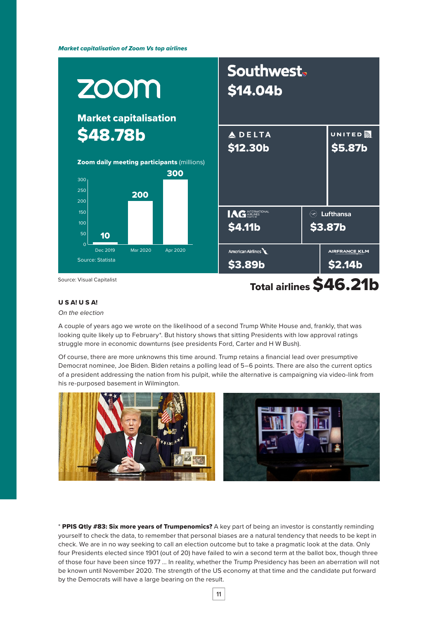*Market capitalisation of Zoom Vs top airlines*



#### U S A! U S A!

#### *On the election*

A couple of years ago we wrote on the likelihood of a second Trump White House and, frankly, that was looking quite likely up to February<sup>\*</sup>. But history shows that sitting Presidents with low approval ratings struggle more in economic downturns (see presidents Ford, Carter and H W Bush).

Of course, there are more unknowns this time around. Trump retains a financial lead over presumptive Democrat nominee, Joe Biden. Biden retains a polling lead of 5–6 points. There are also the current optics of a president addressing the nation from his pulpit, while the alternative is campaigning via video-link from his re-purposed basement in Wilmington.



\* PPIS Qtly #83: Six more years of Trumpenomics? A key part of being an investor is constantly reminding yourself to check the data, to remember that personal biases are a natural tendency that needs to be kept in check. We are in no way seeking to call an election outcome but to take a pragmatic look at the data. Only four Presidents elected since 1901 (out of 20) have failed to win a second term at the ballot box, though three of those four have been since 1977 … In reality, whether the Trump Presidency has been an aberration will not be known until November 2020. The strength of the US economy at that time and the candidate put forward by the Democrats will have a large bearing on the result.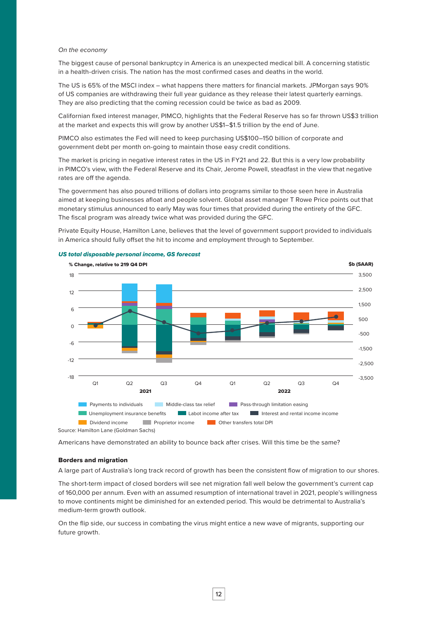#### *On the economy*

The biggest cause of personal bankruptcy in America is an unexpected medical bill. A concerning statistic in a health-driven crisis. The nation has the most confirmed cases and deaths in the world.

The US is 65% of the MSCI index – what happens there matters for financial markets. JPMorgan says 90% of US companies are withdrawing their full year guidance as they release their latest quarterly earnings. They are also predicting that the coming recession could be twice as bad as 2009.

Californian fixed interest manager, PIMCO, highlights that the Federal Reserve has so far thrown US\$3 trillion at the market and expects this will grow by another US\$1–\$1.5 trillion by the end of June.

PIMCO also estimates the Fed will need to keep purchasing US\$100–150 billion of corporate and government debt per month on-going to maintain those easy credit conditions.

The market is pricing in negative interest rates in the US in FY21 and 22. But this is a very low probability in PIMCO's view, with the Federal Reserve and its Chair, Jerome Powell, steadfast in the view that negative rates are off the agenda.

The government has also poured trillions of dollars into programs similar to those seen here in Australia aimed at keeping businesses afloat and people solvent. Global asset manager T Rowe Price points out that monetary stimulus announced to early May was four times that provided during the entirety of the GFC. The fiscal program was already twice what was provided during the GFC.

Private Equity House, Hamilton Lane, believes that the level of government support provided to individuals in America should fully offset the hit to income and employment through to September.



#### *US total disposable personal income, GS forecast*

Source: Hamilton Lane (Goldman Sachs)

Americans have demonstrated an ability to bounce back after crises. Will this time be the same?

#### Borders and migration

A large part of Australia's long track record of growth has been the consistent flow of migration to our shores.

The short-term impact of closed borders will see net migration fall well below the government's current cap of 160,000 per annum. Even with an assumed resumption of international travel in 2021, people's willingness to move continents might be diminished for an extended period. This would be detrimental to Australia's medium-term growth outlook.

On the flip side, our success in combating the virus might entice a new wave of migrants, supporting our future growth.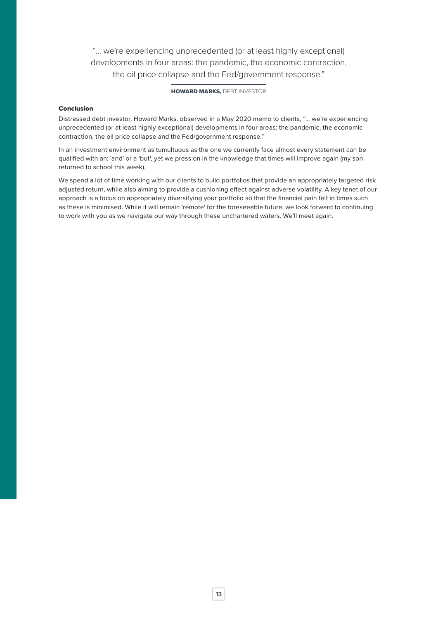"… we're experiencing unprecedented (or at least highly exceptional) developments in four areas: the pandemic, the economic contraction, the oil price collapse and the Fed/government response."

#### HOWARD MARKS, DEBT INVESTOR

#### Conclusion

Distressed debt investor, Howard Marks, observed in a May 2020 memo to clients, "… we're experiencing unprecedented (or at least highly exceptional) developments in four areas: the pandemic, the economic contraction, the oil price collapse and the Fed/government response."

In an investment environment as tumultuous as the one we currently face almost every statement can be qualified with an: 'and' or a 'but', yet we press on in the knowledge that times will improve again (my son returned to school this week).

We spend a lot of time working with our clients to build portfolios that provide an appropriately targeted risk adjusted return, while also aiming to provide a cushioning effect against adverse volatility. A key tenet of our approach is a focus on appropriately diversifying your portfolio so that the financial pain felt in times such as these is minimised. While it will remain 'remote' for the foreseeable future, we look forward to continuing to work with you as we navigate our way through these unchartered waters. We'll meet again.